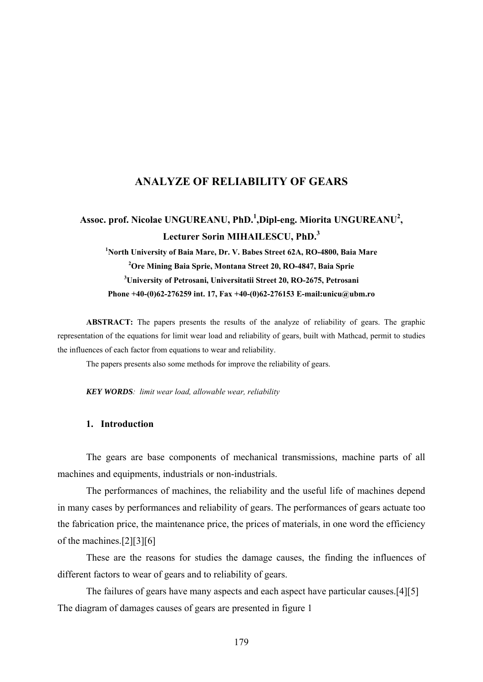### **ANALYZE OF RELIABILITY OF GEARS**

# Assoc. prof. Nicolae UNGUREANU, PhD.<sup>1</sup>,Dipl-eng. Miorita UNGUREANU<sup>2</sup>, **Lecturer Sorin MIHAILESCU, PhD.<sup>3</sup>**

<sup>1</sup> North University of Baia Mare, Dr. V. Babes Street 62A, RO-4800, Baia Mare **2 Ore Mining Baia Sprie, Montana Street 20, RO-4847, Baia Sprie 3 University of Petrosani, Universitatii Street 20, RO-2675, Petrosani Phone +40-(0)62-276259 int. 17, Fax +40-(0)62-276153 E-mail:unicu@ubm.ro** 

**ABSTRACT:** The papers presents the results of the analyze of reliability of gears. The graphic representation of the equations for limit wear load and reliability of gears, built with Mathcad, permit to studies the influences of each factor from equations to wear and reliability.

The papers presents also some methods for improve the reliability of gears.

*KEY WORDS: limit wear load, allowable wear, reliability* 

#### **1. Introduction**

The gears are base components of mechanical transmissions, machine parts of all machines and equipments, industrials or non-industrials.

 The performances of machines, the reliability and the useful life of machines depend in many cases by performances and reliability of gears. The performances of gears actuate too the fabrication price, the maintenance price, the prices of materials, in one word the efficiency of the machines.[2][3][6]

 These are the reasons for studies the damage causes, the finding the influences of different factors to wear of gears and to reliability of gears.

 The failures of gears have many aspects and each aspect have particular causes.[4][5] The diagram of damages causes of gears are presented in figure 1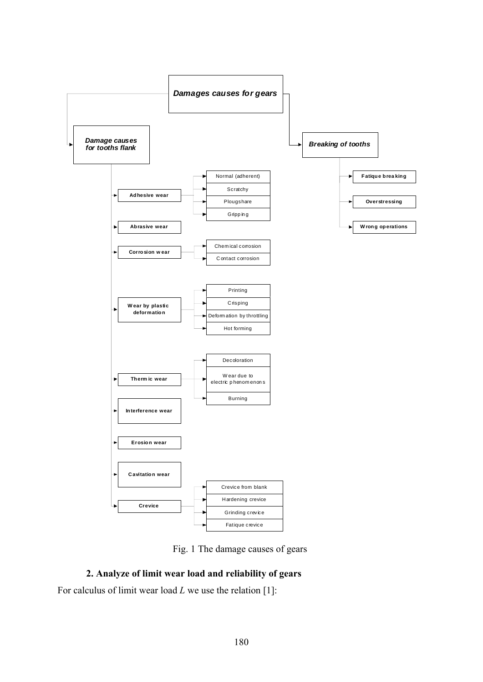

Fig. 1 The damage causes of gears

## **2. Analyze of limit wear load and reliability of gears**

For calculus of limit wear load *L* we use the relation [1]: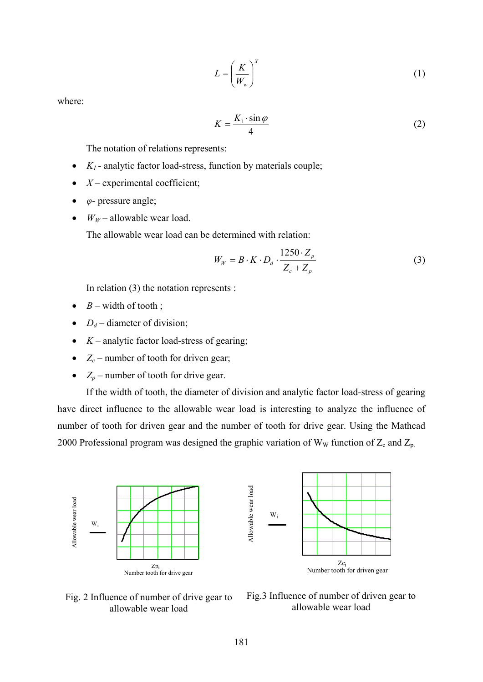$$
L = \left(\frac{K}{W_w}\right)^X \tag{1}
$$

where:

$$
K = \frac{K_1 \cdot \sin \varphi}{4} \tag{2}
$$

The notation of relations represents:

- $K_1$  analytic factor load-stress, function by materials couple;
- $X$  experimental coefficient;
- *φ* pressure angle;
- $W_W$  allowable wear load.

The allowable wear load can be determined with relation:

$$
W_W = B \cdot K \cdot D_d \cdot \frac{1250 \cdot Z_p}{Z_c + Z_p} \tag{3}
$$

In relation (3) the notation represents :

- $B$  width of tooth;
- $D_d$  diameter of division;
- $K$  analytic factor load-stress of gearing;
- $Z_c$  number of tooth for driven gear;
- $Z_p$  number of tooth for drive gear.

 If the width of tooth, the diameter of division and analytic factor load-stress of gearing have direct influence to the allowable wear load is interesting to analyze the influence of number of tooth for driven gear and the number of tooth for drive gear. Using the Mathcad 2000 Professional program was designed the graphic variation of  $W_W$  function of  $Z_c$  and  $Z_p$ .



Fig. 2 Influence of number of drive gear to allowable wear load

Fig.3 Influence of number of driven gear to allowable wear load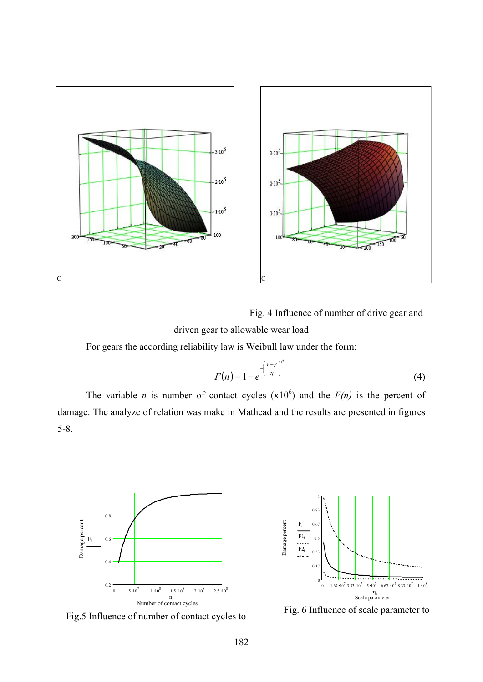

Fig. 4 Influence of number of drive gear and driven gear to allowable wear load

For gears the according reliability law is Weibull law under the form:

$$
F(n) = 1 - e^{-\left(\frac{n-\gamma}{n}\right)^{\beta}}
$$
\n(4)

The variable *n* is number of contact cycles  $(x10^6)$  and the  $F(n)$  is the percent of damage. The analyze of relation was make in Mathcad and the results are presented in figures 5-8.



Fig.5 Influence of number of contact cycles to



Fig. 6 Influence of scale parameter to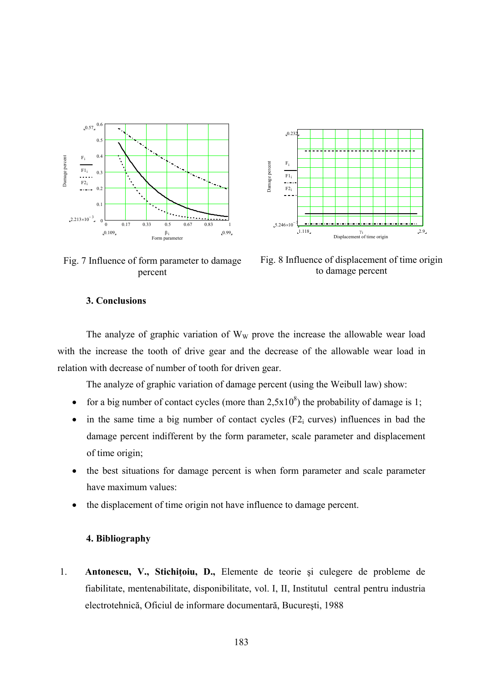



Fig. 7 Influence of form parameter to damage percent

Fig. 8 Influence of displacement of time origin to damage percent

### **3. Conclusions**

The analyze of graphic variation of  $W_W$  prove the increase the allowable wear load with the increase the tooth of drive gear and the decrease of the allowable wear load in relation with decrease of number of tooth for driven gear.

The analyze of graphic variation of damage percent (using the Weibull law) show:

- for a big number of contact cycles (more than  $2,5x10<sup>8</sup>$ ) the probability of damage is 1;
- in the same time a big number of contact cycles  $(F2<sub>i</sub> curves)$  influences in bad the damage percent indifferent by the form parameter, scale parameter and displacement of time origin;
- the best situations for damage percent is when form parameter and scale parameter have maximum values:
- the displacement of time origin not have influence to damage percent.

### **4. Bibliography**

1. **Antonescu, V., Stichiţoiu, D.,** Elemente de teorie şi culegere de probleme de fiabilitate, mentenabilitate, disponibilitate, vol. I, II, Institutul central pentru industria electrotehnică, Oficiul de informare documentară, Bucureşti, 1988